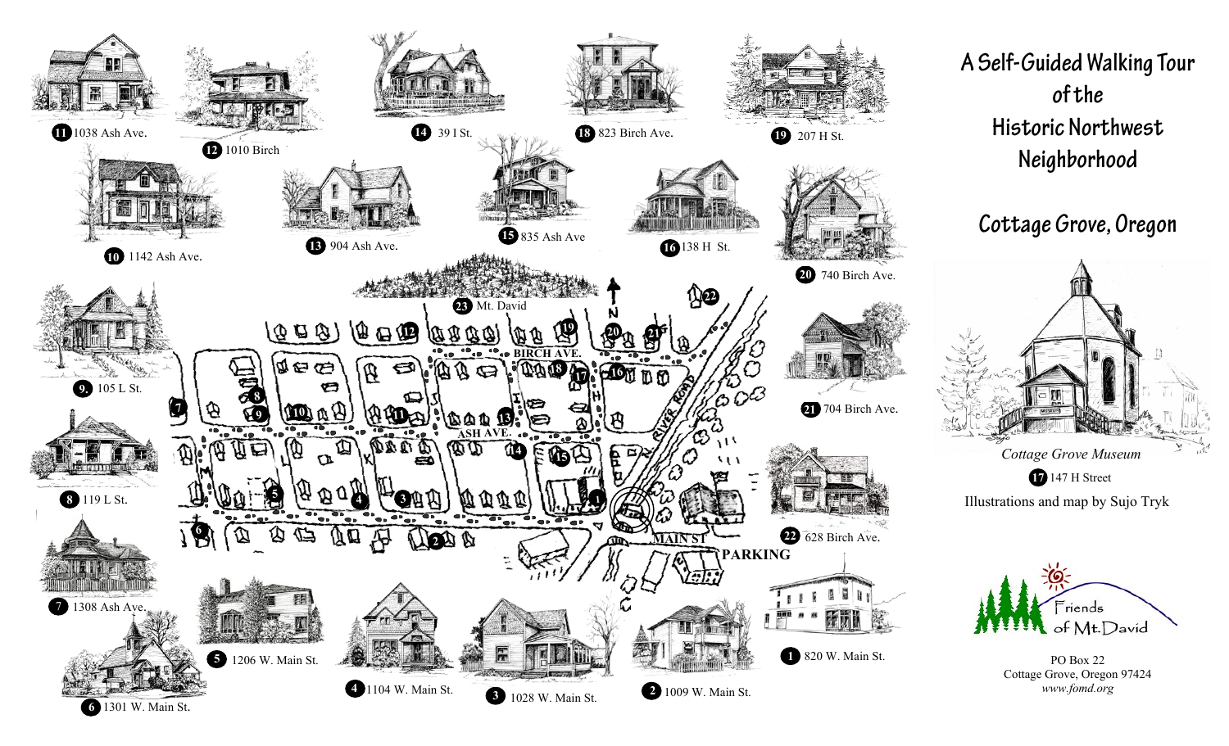